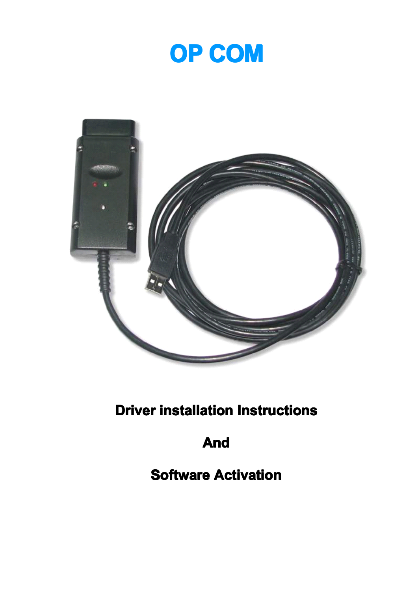



**Driver installation Instructions** 

**And**

**Software Activation**